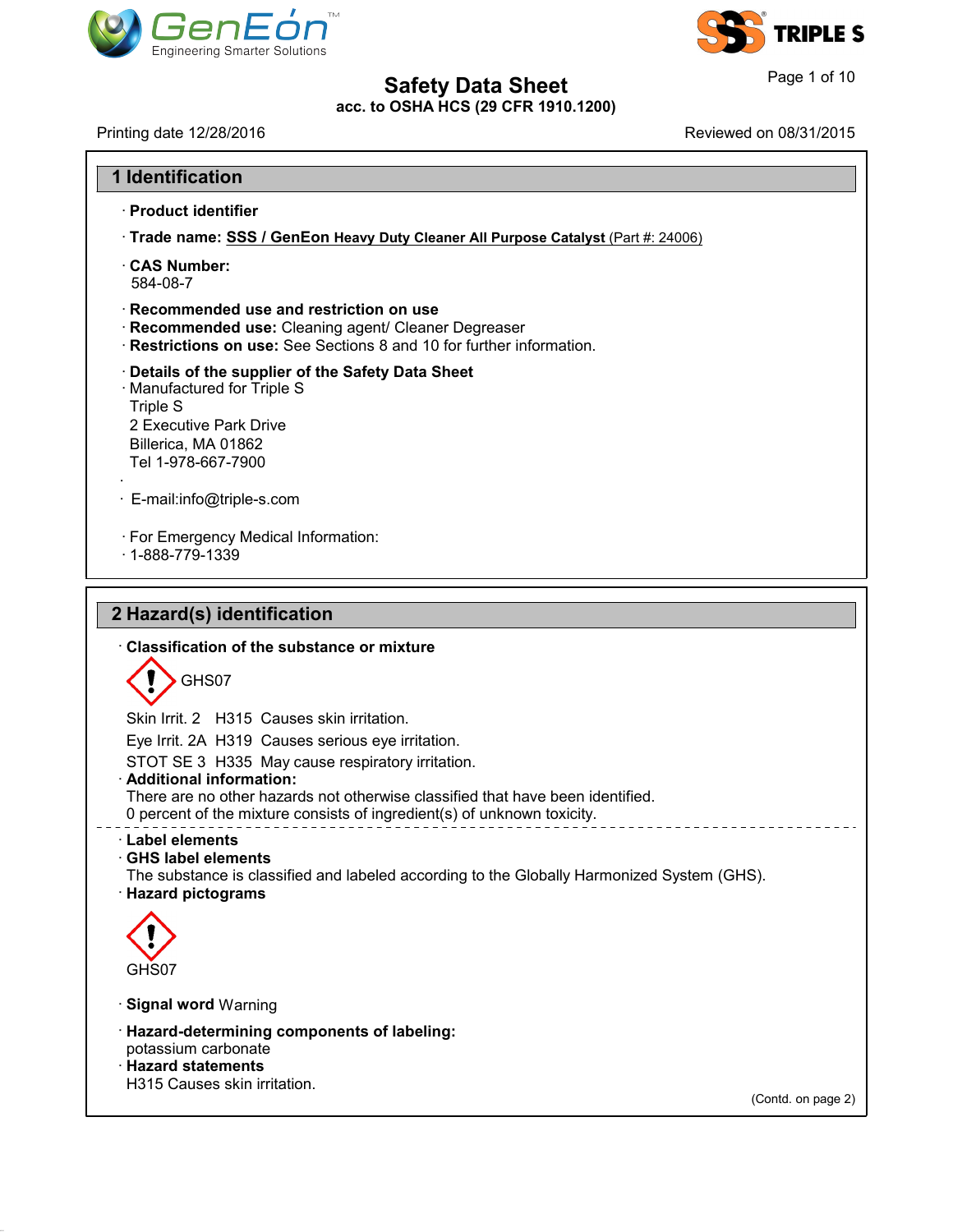



41.1.0

| <b>Safety Data Sheet</b><br>acc. to OSHA HCS (29 CFR 1910.1200)                                                                                                           |                        |
|---------------------------------------------------------------------------------------------------------------------------------------------------------------------------|------------------------|
|                                                                                                                                                                           | Page 1 of 10           |
| Printing date 12/28/2016                                                                                                                                                  | Reviewed on 08/31/2015 |
| <b>1 Identification</b>                                                                                                                                                   |                        |
| · Product identifier                                                                                                                                                      |                        |
| · Trade name: SSS / GenEon Heavy Duty Cleaner All Purpose Catalyst (Part #: 24006)                                                                                        |                        |
| <b>CAS Number:</b><br>584-08-7                                                                                                                                            |                        |
| · Recommended use and restriction on use<br>· Recommended use: Cleaning agent/ Cleaner Degreaser<br>Restrictions on use: See Sections 8 and 10 for further information.   |                        |
| Details of the supplier of the Safety Data Sheet<br>· Manufactured for Triple S<br><b>Triple S</b><br>2 Executive Park Drive<br>Billerica, MA 01862<br>Tel 1-978-667-7900 |                        |
| · E-mail:info@triple-s.com                                                                                                                                                |                        |
| · For Emergency Medical Information:<br>$\cdot$ 1-888-779-1339                                                                                                            |                        |
| 2 Hazard(s) identification                                                                                                                                                |                        |
| Classification of the substance or mixture                                                                                                                                |                        |
| GHS07                                                                                                                                                                     |                        |
| Skin Irrit. 2 H315 Causes skin irritation.                                                                                                                                |                        |
| Eye Irrit. 2A H319 Causes serious eye irritation.                                                                                                                         |                        |
| STOT SE 3 H335 May cause respiratory irritation.<br>· Additional information:                                                                                             |                        |
| There are no other hazards not otherwise classified that have been identified.<br>0 percent of the mixture consists of ingredient(s) of unknown toxicity.                 |                        |
| Label elements<br><b>GHS label elements</b><br>The substance is classified and labeled according to the Globally Harmonized System (GHS).<br>· Hazard pictograms          |                        |
|                                                                                                                                                                           |                        |
|                                                                                                                                                                           |                        |
| GHS07                                                                                                                                                                     |                        |
| <b>Signal word Warning</b>                                                                                                                                                |                        |
| · Hazard-determining components of labeling:<br>potassium carbonate<br>· Hazard statements                                                                                |                        |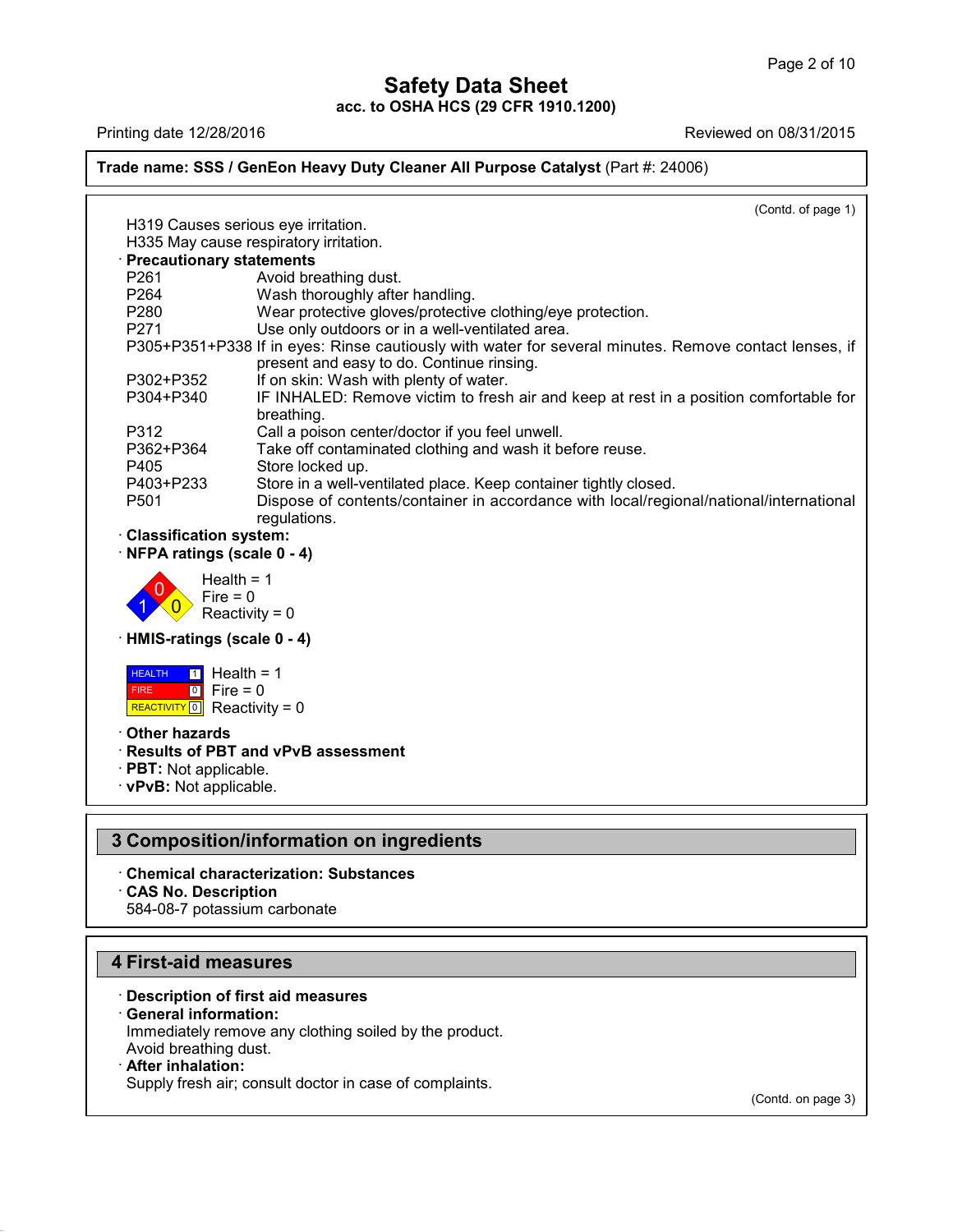### Page 2 of 10<br> **Safety Data Sheet**<br>
acc. to OSHA HCS (29 CFR 1910.1200)<br>
Reviewed on 08/31/2015<br>
Reviewed on 08/31/2015<br>
Reviewed on 08/31/2015 **Trade name: SSS / GenEon Heavy Duty Cleaner All Purpose Catalyst** (Part #: 24006) (Contd. of page 1) Ing date 12/26/2010<br>
He name: SSS / GenEon Heavy Duty Cleane<br>
H319 Causes serious eye irritation.<br>
H335 May cause respiratory irritation.<br>
Precautionary statements **Example: SSS / GenEon Heavy Duty Cleaner /<br>H319 Causes serious eye irritation.<br>• <b>Precautionary statements**<br>• **P261** Avoid breathing dust.<br>• **P264** Wash thoroughly after handling that H319 Causes serious eye irritation.<br>
H335 May cause respiratory irritation.<br> **Precautionary statements**<br>
P261 Avoid breathing dust.<br>
P264 Wash thoroughly after handling.<br>
P280 Wear protective gloves/protective of H319 Causes serious eye irritation.<br>
H335 May cause respiratory irritation.<br> **Precautionary statements**<br>
P261 Avoid breathing dust.<br>
P264 Wash thoroughly after handling.<br>
P280 Wear protective gloves/protective clothing<br>
P2 H319 Causes serious eye irritation.<br>
H335 May cause respiratory irritation.<br> **Precautionary statements**<br>
P261 Avoid breathing dust.<br>
P264 Wash thoroughly after handling.<br>
P280 Wear protective gloves/protective clothing/eye H335 May cause respiratory irritation.<br> **Precautionary statements**<br>
P261 Avoid breathing dust.<br>
P264 Wash thoroughly after handling.<br>
P280 Wear protective gloves/protective clothing/eye protection.<br>
P271 Use only outdoors **Precautionary statements**<br>
P261 Avoid breathing dust.<br>
P264 Wash thoroughly after handling.<br>
P280 Wear protective gloves/protective clothing/eye protection.<br>
P271 Use only outdoors or in a well-ventilated area.<br>
P305+P351 Avoid breathing dust.<br>
Wash thoroughly after handling.<br>
Wear protective gloves/protective clothing/eye protection.<br>
Use only outdoors or in a well-ventilated area.<br>
If in eyes: Rinse cautiously with water for several minut P264 Wash thoroughly after handling.<br>
P280 Wear protective gloves/protective clothing/eye pro<br>
P271 Use only outdoors or in a well-ventilated area.<br>
P305+P351+P338 If in eyes: Rinse cautiously with water for severa<br>
presen P280 Wear protective gloves/protective clothing/eye protection.<br>
P271 Use only outdoors or in a well-ventilated area.<br>
P305+P351+P338 If in eyes: Rinse cautiously with water for several minutes. Remove contact lenses, if<br> breathing.<br>Call a poison center/doctor if you feel unwell. P305+P351+P338 If in eyes: Rinse cautiously with water for several minut<br>present and easy to do. Continue rinsing.<br>P302+P352 If on skin: Wash with plenty of water.<br>P304+P340 IF INHALED: Remove victim to fresh air and keep present and easy to do. Continue rinsing.<br>
P302+P352 If on skin: Wash with plenty of water.<br>
P304+P340 IF INHALED: Remove victim to fresh air and keep at rest in a positic<br>
breathing.<br>
P312 Call a poison center/doctor if y P302+P352 If on skin: Wash with plenty of w<br>
P304+P340 IF INHALED: Remove victim to<br>
breathing.<br>
P312 Call a poison center/doctor if you<br>
P362+P364 Take off contaminated clothing a<br>
P405 Store locked up.<br>
P403+P233 Store i P304+P340 IF INHALED: Remove victim to fresh air and keep at rest in a position c<br>
breathing.<br>
P312 Call a poison center/doctor if you feel unwell.<br>
P362+P364 Take off contaminated clothing and wash it before reuse.<br>
P405 breathing.<br>
P312 Call a poison center/doctor if you feel unwell.<br>
P362+P364 Take off contaminated clothing and wash it before reuse.<br>
P405 Store locked up.<br>
P403+P233 Store in a well-ventilated place. Keep container tightl regulations. P362+P364<br>
P405 Store locked up<br>
P403+P233 Store in a well-<br>
P501 Dispose of con<br>
regulations.<br> **Classification system:**<br> **NFPA ratings (scale 0 - 4)** P405<br>
P403+P233<br>
Store in a well-ventilated<br>
P501 Dispose of contents/con<br>
regulations.<br> **Classification system:**<br>
NFPA ratings (scale 0 - 4)<br>
Health = 1  $\left| \begin{array}{c} 1 \\ 0 \end{array} \right|$  Reactivi Health =  $1$ <br>Fire =  $0$ Dispose of contents<br>
Dispose of contents<br>
regulations.<br> **ion system:**<br> **gs (scale 0 - 4)**<br>
Health = 1<br>
Fire = 0<br>
Reactivity = 0 Figulations.<br>
Figulations.<br>
Figulations.<br>
Igs (scale 0 - 4)<br>
Health = 1<br>
Fire = 0<br>
Reactivity = 0 Fraction system:<br>
igs (scale 0 - 4)<br>
Health = 1<br>
Fire = 0<br>
Reactivity = 0<br>
gs (scale 0 - 4) • **NFPA ratings (scale 0 - 4)**<br>
Health = 1<br>
Fire = 0<br> **HMIS-ratings (scale 0 - 4)**<br> **HEALTH** 1 Health = 1 **HEALTH** 1 Hea FIRE REACTIVITY  $\boxed{0}$  Reactivity = 0  $\boxed{0}$  Fire = 0 Fire = 0<br>
Reactivity = 0<br> **ings (scale 0 - 4)**<br> **i** Health = 1<br>
Fire = 0<br>
Reactivity = 0 reactivity = 0<br> **s** (scale 0 - 4)<br>
Health = 1<br>
Fire = 0<br>
Reactivity = 0  $\begin{aligned} &\text{Re}( \text{scale } 0 - 4) \ &\text{Health} &= 1 \ &\text{Fire} &= 0 \ &\text{Reactivity} &= 0 \ &\text{ds} \end{aligned}$ **HEALTH 1 Health = 1**<br>
FIRE 0 Fire = 0<br>
REACTIVITY 0 Reactivity = 0<br> **Cher hazards<br>
Results of PBT and vPv**<br>
PBT: Not applicable **ERE CONTRENT BUTTLE PROPERTY AND REACTIVITY OF PREACTIVITY OF PREACTIVITY OF PREACTIVITY OF PREACTIVITY OF PREACTION**<br> **PRISP AND PRISP AND VPVB assessment**<br> **PBT:** Not applicable.<br> **PRISP AND AND PRISP AND VPVB assessmen FIRE PRODUCE 1999 FORMAL PRODUCE 2014**<br> **REACTIVITY OF REACTIVITY PRODUCE 2014**<br> **PBT:** Not applicable.<br> **PBT:** Not applicable. **3 Composition/information on ingredients<br>
2 Composition/information on ingredients<br>
3 Composition/information on ingredients<br>
3 Composition/information on ingredients<br>
2 Chemical characterization: Substances EXPVB: Not applicable.**<br> **B Composition/information on ingredients**<br> **Chemical characterization: Substances<br>
CAS No. Description<br>
584-08-7 potassium carbonate Composition/information<br>• Chemical characterization: Su<br>• CAS No. Description<br>• 584-08-7 potassium carbonate Composition/information on ing**<br>Chemical characterization: Substance<br>CAS No. Description<br>584-08-7 potassium carbonate

- 
- 

- **12 Chemical characterization: Subst-CAS No. Description<br>584-08-7 potassium carbonate<br><b>4 First-aid measures**<br>Description of first aid measures **Example 28-4-08-7 potassium carbonate**<br> **Example 28-4-08-7 potassium carbonate**<br> **Conserved information:**<br> **Conserved information:**<br>
Immediately remove any clothing soiled by the **First-aid measures**<br> **Consignting Exercise 15 Separal information:**<br>
Immediately remove any clongle Avoid breathing dust. First-aid measures<br>Description of first aid measures<br>General information:<br>Immediately remove any clothing soiled by the product.<br>Avoid breathing dust.<br>After inhalation: **First-aid measures**<br>
• Description of first aid measures<br>
• General information:<br>
Immediately remove any clothing so<br>
Avoid breathing dust.<br>
• After inhalation:<br>
Supply fresh air; consult doctor in c Description of first aid measures<br>General information:<br>Immediately remove any clothing soiled by the product.<br>Avoid breathing dust.<br>After inhalation:<br>Supply fresh air; consult doctor in case of complaints.
- 

41.1.0

(Contd. on page 3)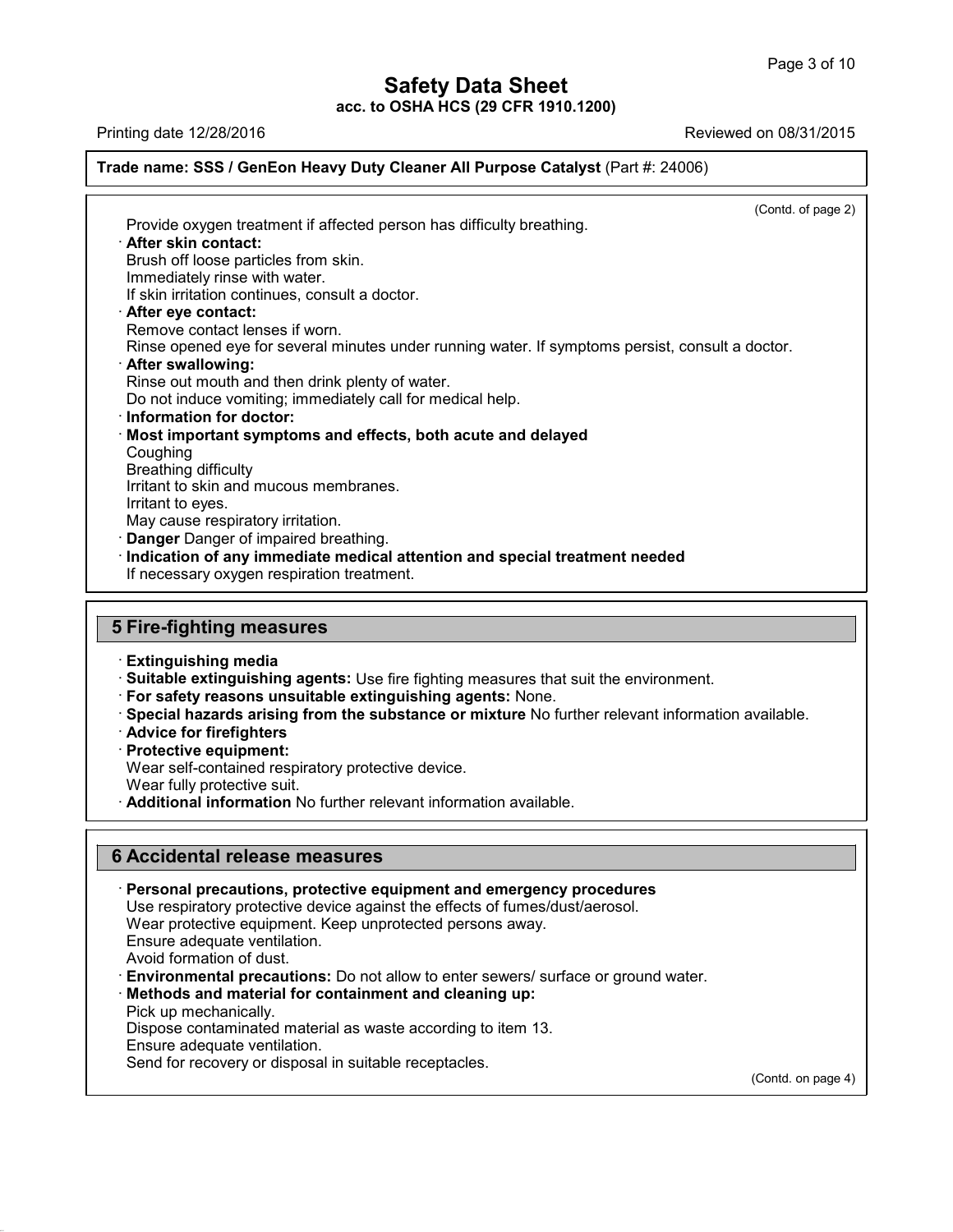### Page 3 of 10<br> **Safety Data Sheet**<br>
Reviewed on 08/31/2015<br>
Printing date 12/28/2016<br>
Reviewed on 08/31/2015<br>
Reviewed on 08/31/2015<br>
Reviewed on 08/31/2015 **Trade name: SSS / GenEon Heavy Duty Cleaner All Purpose Catalyst** (Part #: 24006)

 $\overline{(\text{Cond. of page 2})}$ Provide oxygen treatment if affected person has difficulty breathing.<br>Provide oxygen treatment if affected person has difficulty breathing.<br>• **After skin contact:**<br>Brush off loose particles from skin.<br>Immediately rinse wit Brush off loose particles from skin.<br>Brush off loose particles from skin.<br>Brush off loose particles from skin.<br>Brush off loose particles from skin.<br>If skin irritation continues, consult a doctor. Provide oxygen treatment if affected person has difficulty breathing.<br> **After skin contact:**<br>
Brush off loose particles from skin.<br>
Immediately rinse with water.<br>
If skin irritation continues, consult a doctor.<br> **After eve** Provide oxygen treatment if affected person has difficu<br> **After skin contact:**<br>
Brush off loose particles from skin.<br>
Immediately rinse with water.<br>
If skin irritation continues, consult a doctor.<br> **After eye contact:**<br>
Re After skin contact:<br>Brush off loose particles from skin.<br>Immediately rinse with water.<br>If skin irritation continues, consult a doctor.<br>After eye contact lenses if worn.<br>Rinse opened eye for several minutes under<br>After swal Rrush off loose particles from skin.<br>
Immediately rinse with water.<br>
If skin irritation continues, consult a doctor.<br> **After eye contact:**<br>
Remove contact lenses if worn.<br>
Rinse opened eye for several minutes under running If skin irritation continues, consult a doctor.<br>**After eye contact:**<br>Remove contact lenses if worn.<br>Rinse opened eye for several minutes under running water.<br>**After swallowing:**<br>Rinse out mouth and then drink plenty of wat **Example 31 After eye contact:**<br>
Rinse opened eye for several minutes under running water. If symptoms<br> **After swallowing:**<br> **Rinse out mouth and then drink plenty of water.**<br>
Do not induce vomiting; immediately call for m • **After swallowing:**<br>• **After swallowing:**<br>• **After swallowing:**<br>• **Rinse out mouth and then drink plenty of water.**<br>• **Do not induce vomiting; immediately call for medical help.**<br>• **Information for doctor:**<br>• **Most impor** Coughing<br>Breathing difficulty Rinse out mouth and then dri<br>Do not induce vomiting; imme<br>**Information for doctor:**<br>**Most important symptoms**<br>Coughing<br>Breathing difficulty<br>Irritant to skin and mucous m<br>Irritant to eves Do not induce vomiting; immediately call for m<br>**Information for doctor:**<br>**Most important symptoms and effects, bot**<br>Coughing<br>Breathing difficulty<br>Irritant to skin and mucous membranes.<br>Irritant to eyes.<br>May cause respirato **Information for doctor:**<br>**Most important symptoms**<br>Coughing<br>Breathing difficulty<br>Irritant to skin and mucous n<br>Irritant to eyes.<br>May cause respiratory irritati<br>**Danger** Danger of impaired Most important symptoms and effects, both acute and delayed<br>
Coughing<br>
Breathing difficulty<br>
Irritant to skin and mucous membranes.<br>
Irritant to eyes.<br>
May cause respiratory irritation.<br> **Danger** Danger of impaired breathi Irritant to skin and mucous membranes.<br>Irritant to eyes.<br>May cause respiratory irritation.<br>**Danger** Danger of impaired breathing.<br>**Indication of any immediate medical attention a**<br>If necessary oxygen respiration treatment. May cause respiratory imitation.<br> **Danger Danger of impaired breathing.**<br> **Indication of any immediate medical a**<br> **If necessary oxygen respiration treatment**<br> **5 Fire-fighting measures**<br> **Extinguishing media** If necessary oxygen respiration treatment.<br> **Extinguishing measures**<br> **Extinguishing media**<br> **Extinguishing media**<br> **Extinguishing agents:** Use fire fighting measures that suit the environment. Fire-fighting measures<br>
Extinguishing media<br>
Suitable extinguishing agents: Use fire fighting measures that suit the environment.<br>
For safety reasons unsuitable extinguishing agents: None.<br>
Special hazards arising from the

Examguishing media<br>
• Suitable extinguishing agent<br>
• For safety reasons unsuitable<br>
• Special hazards arising from<br>
• Advice for firefighters<br>
• Protective equipment:<br>
• Wear self-contained respirator<br>
• Wear fully protec

For safety reasons unsuitable extinguishing agents: None.<br>
Special hazards arising from the substance or mixture No further relevant information available.<br>
Advice for firefighters<br>
Protective equipment:<br>
Wear self-contain **For satety reasons unsuitable extinguishing agents:** None.<br>
• **Special hazards arising from the substance or mixture** No further relevant<br>
• **Advice for firefighters**<br>
• **Protective equipment:**<br>
Wear self-contained respir

- 
- 

41.1.0

**Frotective equipment:**<br>
Wear self-contained respiratory protective device<br>
Wear fully protective suit.<br> **Additional information** No further relevant infor<br> **6 Accidental release measures**<br>
Personal precautions, protective • **Additional Information No further relevant Information available.**<br> **• Accidental release measures**<br>
• **Personal precautions, protective equipment and emergency procedures**<br>
Use respiratory protective device against the Accidental release measures<br>Personal precautions, protective equipment and emergency procedures<br>Use respiratory protective device against the effects of fumes/dust/aerosol.<br>Wear protective equipment. Keep unprotected perso Accidental release measures<br>Personal precautions, protective equipment and emergency proceduities<br>Use respiratory protective device against the effects of fumes/dust/aerosol<br>Wear protective equipment. Keep unprotected pers **Accidental release measures<br>Personal precautions, protective e<br>Use respiratory protective device aga<br>Wear protective equipment. Keep un<br>Ensure adequate ventilation.<br>Avoid formation of dust.**<br>Environmental precautions: Do **Personal precautions, protective equipment and emergency procedures**<br>Use respiratory protective device against the effects of fumes/dust/aerosol.<br>Wear protective equipment. Keep unprotected persons away.<br>Ensure adequate v Wear protective equipment<br>Ensure adequate ventilatio<br>Avoid formation of dust.<br>**Environmental precaution<br>Methods and material for**<br>Pick up mechanically.<br>Dispose contaminated mat<br>Ensure adequate ventilation Ensure adequate ventilation.<br>Avoid formation of dust.<br>**Environmental precautions:** Do not allow to enter sewers/ surface or ground<br>**Methods and material for containment and cleaning up:**<br>Pick up mechanically.<br>Dispose conta Avoid formation of dust.<br>**Environmental precautions:** Do no<br>**Methods and material for containn**<br>Pick up mechanically.<br>Dispose contaminated material as wa<br>Ensure adequate ventilation.<br>Send for recovery or disposal in suita Methods and material for containment and cleaning up:<br>Pick up mechanically.<br>Dispose contaminated material as waste according to item 13.<br>Ensure adequate ventilation.<br>Send for recovery or disposal in suitable receptacles.

(Contd. on page 4)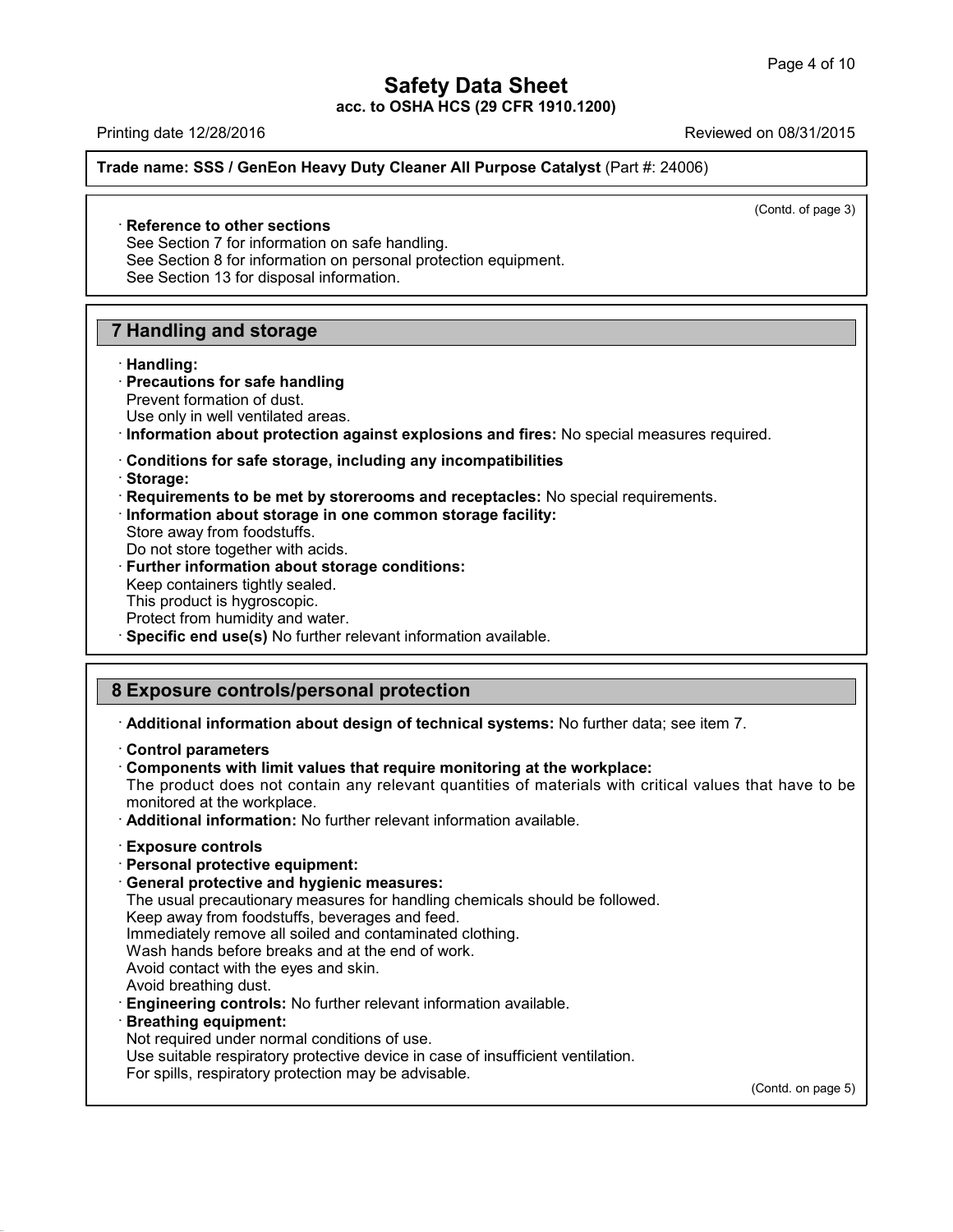Page 4 of 10<br> **Safety Data Sheet**<br>
acc. to OSHA HCS (29 CFR 1910.1200)<br>
Reviewed on 08/31/2015<br>
Reviewed on 08/31/2015<br>
Reviewed on 08/31/2015 **Trade name: SSS / GenEon Heavy Duty Cleaner All Purpose Catalyst** (Part #: 24006)

 $\overline{(\text{Cond. of page 3})}$ 

# **Example 12/20/2019**<br> **Reference to other sections**<br>
See Section 7 for information on safe has<br>
See Section 8 for information on person

de name: SSS / GenEon Heavy Duty Cleaner All Purpo<br>
See Section 7 for information on safe handling.<br>
See Section 8 for information on personal protection eque<br>
See Section 13 for disposal information Reference to other sections<br>See Section 7 for information on safe handling.<br>See Section 8 for information on personal protection equipment.<br>See Section 13 for disposal information. Reference to other sections<br>See Section 7 for information on safe handling.<br>See Section 8 for information on personal prote<br>See Section 13 for disposal information. **12 Reference to other sections**<br>
See Section 7 for information on safe has<br>
See Section 8 for information on personal<br>
See Section 13 for disposal information.<br> **7 Handling and storage**<br> **Handling:** 

### · **Handling: Fandling and storage<br>
· <b>Handling:**<br>
· **Precautions for safe handling**<br>
Prevent formation of dust.<br>
Use only in well ventilated areas.

- **Handling and storage<br>
Handling:<br>
Precautions for safe handling<br>
Prevent formation of dust.<br>
Use only in well ventilated areas.<br>
Information about protection against**
- **Exampling and storage**<br>
 **Handling:**<br>
 **Precautions for safe handling**<br>
 Prevent formation of dust.<br>
 Use only in well ventilated areas.<br>
 **Conditions for safe storage, including any incompatibilities**<br>
 **Storage:** Use only in well ventilated areas.<br> **· Information about protection against explosions and fires:** No special measures required.<br> **· Conditions for safe storage, including any incompatibilities**<br> **· Requirements to be met**
- 
- · **Storage:**
- **Requirements to be met by storerooms and receptacles:** No special requirements.<br> **Information about storage in one common storage facility:**<br>
Store away from foodstuffs.<br>
Do not store together with acids.<br> **Further inform**
- Conditions for safe storage, including any incompatibilities<br>• Storage:<br>• Requirements to be met by storerooms and receptacles: No<br>• Information about storage in one common storage facility:<br>• Store away from foodstuffs. Information about storage in one common storage facility:<br>Store away from foodstuffs.<br>Do not store together with acids.<br>Further information about storage conditions:<br>Keep containers tightly sealed.<br>This product is hygrosco
- 
- 
- Do not store together with acids.<br>
Further information about storage conditions:<br>
Keep containers tightly sealed.<br>
This product is hygroscopic.<br>
Protect from humidity and water.<br>
Becific end use(s) No further relevant info
- 
- 
- 
- Store away from foodstuffs.<br>
Do not store together with acids.<br> **Further information about storage conditions:**<br>
Keep containers tightly sealed.<br>
This product is hygroscopic.<br>
Protect from humidity and water.<br> **Specific en**

- Reep containers ugnity sealed.<br>
This product is hygroscopic.<br>
Protect from humidity and water.<br> **8 Exposure controls/personal protection**<br> **8 Exposure controls/personal protection**<br> **Additional information about design of** · **Additional information about design of technical systems:** No further data; see item 7. · **Control parameters**
- 
- 

**Exposure controls/personal protection**<br>
• **Additional information about design of technical systems:** No further data; see item 7.<br>
• **Control parameters**<br>
• **Components with limit values that require monitoring at the wo** The product does not contain any relevant quantities of materials with critical values that have to be montrol parameters<br> **Control parameters**<br> **Components with limit values that require monitoring at the workplace.**<br>
The product does not contain any relevant quantities of materials with informationed at the workplace.<br> **A** 

**Additional information:** No further relevant information available.<br> **Exposure controls**<br> **Personal protective equipment:**<br> **Ceneral protective and hygienic measures:**<br>
The usual precautionary measures for handling chemic

- 
- · **Personal protective equipment:**

Additional information: No further relevant information available.<br> **Exposure controls**<br> **Personal protective equipment:**<br> **General protective and hygienic measures:**<br>
The usual precautionary measures for handling chemical Exposure controls<br>
Personal protective equipment:<br>
General protective and hygienic measures:<br>
The usual precautionary measures for handling chemicals sho<br>
Keep away from foodstuffs, beverages and feed.<br>
Immediately remove Exposure controls<br>
Personal protective equipment:<br>
General protective and hygienic measures:<br>
The usual precautionary measures for handling chemicals should be<br>
Keep away from foodstuffs, beverages and feed.<br>
Immediately r **Personal protective equipment:**<br> **General protective and hygienic measures:**<br>
The usual precautionary measures for handling chemicals shoule<br>
Keep away from foodstuffs, beverages and feed.<br>
Immediately remove all soiled a **General protective and hygienic measures:**<br>The usual precautionary measures for handling che<br>Keep away from foodstuffs, beverages and feed.<br>Immediately remove all soiled and contaminated ck<br>Wash hands before breaks and at

- 
- 
- 
- 
- 
- The usual precautionary measures for handling chemicals should be follow<br>Keep away from foodstuffs, beverages and feed.<br>
Immediately remove all soiled and contaminated clothing.<br>
Wash hands before breaks and at the end of Wash hands before breaks and at the end of work.<br>Avoid contact with the eyes and skin.<br>Avoid breathing dust.<br>**Engineering controls:** No further relevant information avai<br>**Breathing equipment:**<br>Not required under normal con Avoid breathing dust.<br>**Engineering controls:** No further relevant information ava<br>**Breathing equipment:**<br>Not required under normal conditions of use.<br>Use suitable respiratory protective device in case of insuffic<br>For spill
- 

41.1.0

- 
- Avoid contact with the eyes and skin.<br>Avoid breathing dust.<br>**Engineering controls:** No further relevant information available.<br>**Breathing equipment:**<br>Not required under normal conditions of use.<br>Use suitable respiratory pr
- 

(Contd. on page 5)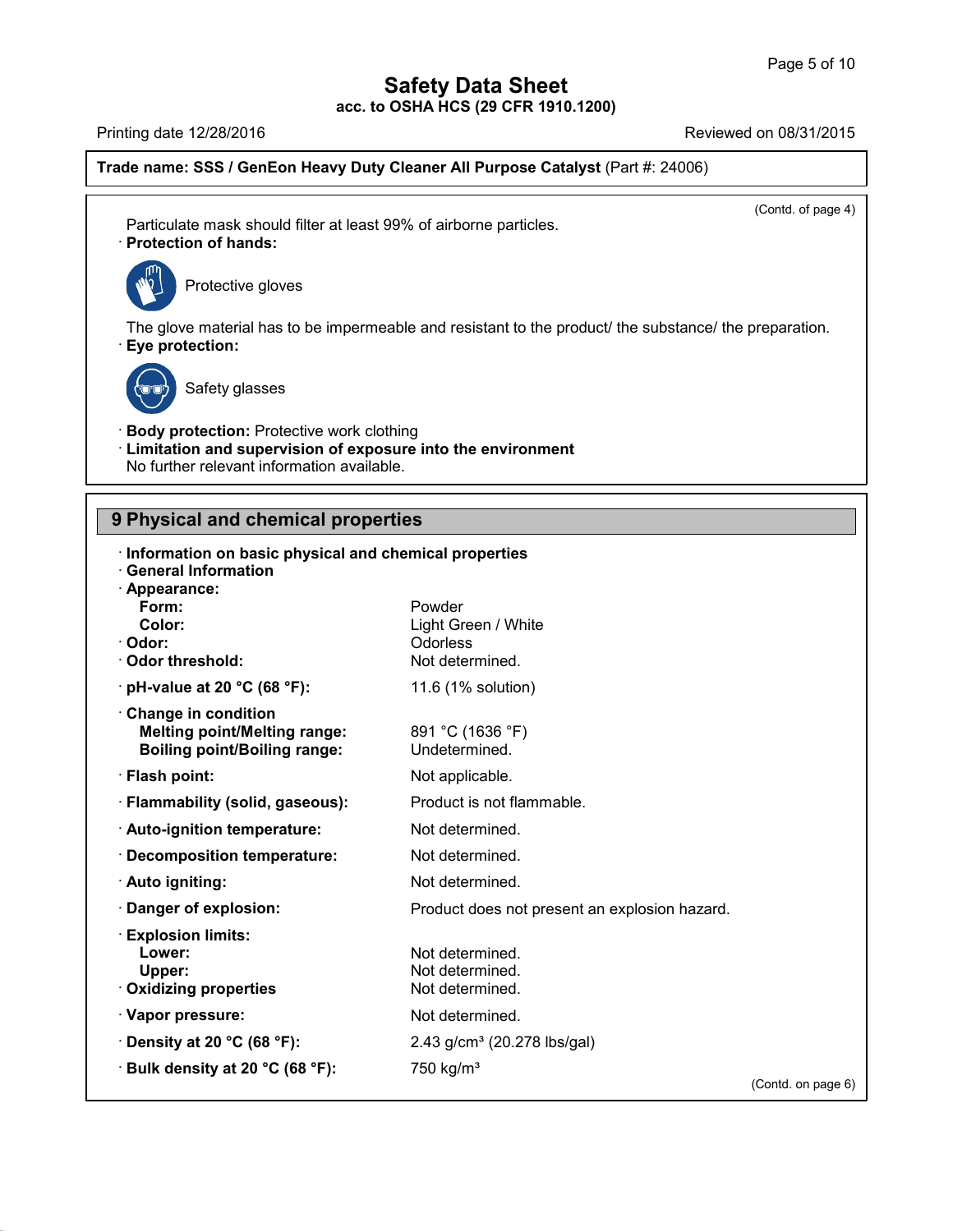# **Safety Data Sheet<br>

OSHA HCS (29 CFR 1910.1200) acc. to OSHA HCS (29 CFR 1910.1200)**

Page 5 of 10<br>
acc. to OSHA HCS (29 CFR 1910.1200)<br>
Printing date 12/28/2016<br>
Reviewed on 08/31/2015<br>
Reviewed on 08/31/2015<br>
Reviewed on 08/31/2015 **Trade name: SSS / GenEon Heavy Duty Cleaner All Purpose Catalyst** (Part #: 24006)

 $\overline{(\text{Cond. of page 4})}$ 

Particulate mask should filter at least 99% of airborne particles.<br> **Particulate mask should filter at least 99% of airborne particles.**<br>
Protection of hands: Particulate mask should filter at least 99% of airborne particles.<br>
Protection of hands:<br>  $\begin{bmatrix} \sqrt{m_0^2} \\ \sqrt{m_0^2} \end{bmatrix}$  Protective gloves



The glove material has to be impermeable and resistant to the product/ the substance/ the preparation.<br>• **Eye protection:**<br>• **Eye protection:** e material has to be imper<br>t<mark>ection:</mark><br>Safety glasses



41.1.0

**Eye protection:**<br>
Safety glasses<br> **Body protection:** Protective work clothing<br> **Limitation and supervision of exposure into the er-<br>
No further relevant information available. Example 3**<br> **Example 3**<br> **Example 3**<br> **Limitation and supervision of exposure into the environment<br>
No further relevant information available.** Safety glasses<br>
Body protection: Protective work clothing<br>
Limitation and supervision of exposure into the<br>
No further relevant information available. **19 Body protection:** Protective work clothing<br> **19 Detail Consider Consider Strategier Showstand Properties<br>
<b>9 Physical and chemical properties**<br> **19 Physical and chemical properties**<br> **19 Physical and chemical propertie** 

### 9 Physical and chemical properties<br>**Information** on bosis physical and chemical properties

| <u>No further relevant information available.</u>                                                                                                     |                                                              |                    |  |  |
|-------------------------------------------------------------------------------------------------------------------------------------------------------|--------------------------------------------------------------|--------------------|--|--|
| 9 Physical and chemical properties                                                                                                                    |                                                              |                    |  |  |
| Information on basic physical and chemical properties<br><b>General Information</b><br>· Appearance:<br>Form:<br>Color:<br>· Odor:<br>Odor threshold: | Powder<br>Light Green / White<br>Odorless<br>Not determined. |                    |  |  |
| $\cdot$ pH-value at 20 °C (68 °F):                                                                                                                    | 11.6 (1% solution)                                           |                    |  |  |
| Change in condition<br><b>Melting point/Melting range:</b><br><b>Boiling point/Boiling range:</b>                                                     | 891 °C (1636 °F)<br>Undetermined.                            |                    |  |  |
| · Flash point:                                                                                                                                        | Not applicable.                                              |                    |  |  |
| · Flammability (solid, gaseous):                                                                                                                      | Product is not flammable.                                    |                    |  |  |
| · Auto-ignition temperature:                                                                                                                          | Not determined.                                              |                    |  |  |
| · Decomposition temperature:                                                                                                                          | Not determined.                                              |                    |  |  |
| · Auto igniting:                                                                                                                                      | Not determined.                                              |                    |  |  |
| Danger of explosion:                                                                                                                                  | Product does not present an explosion hazard.                |                    |  |  |
| <b>Explosion limits:</b><br>Lower:<br>Upper:<br>Oxidizing properties                                                                                  | Not determined.<br>Not determined.<br>Not determined.        |                    |  |  |
| · Vapor pressure:                                                                                                                                     | Not determined.                                              |                    |  |  |
| $\cdot$ Density at 20 °C (68 °F):                                                                                                                     | 2.43 g/cm <sup>3</sup> (20.278 lbs/gal)                      |                    |  |  |
| <b>· Bulk density at 20 °C (68 °F):</b>                                                                                                               | 750 kg/m <sup>3</sup>                                        | (Contd. on page 6) |  |  |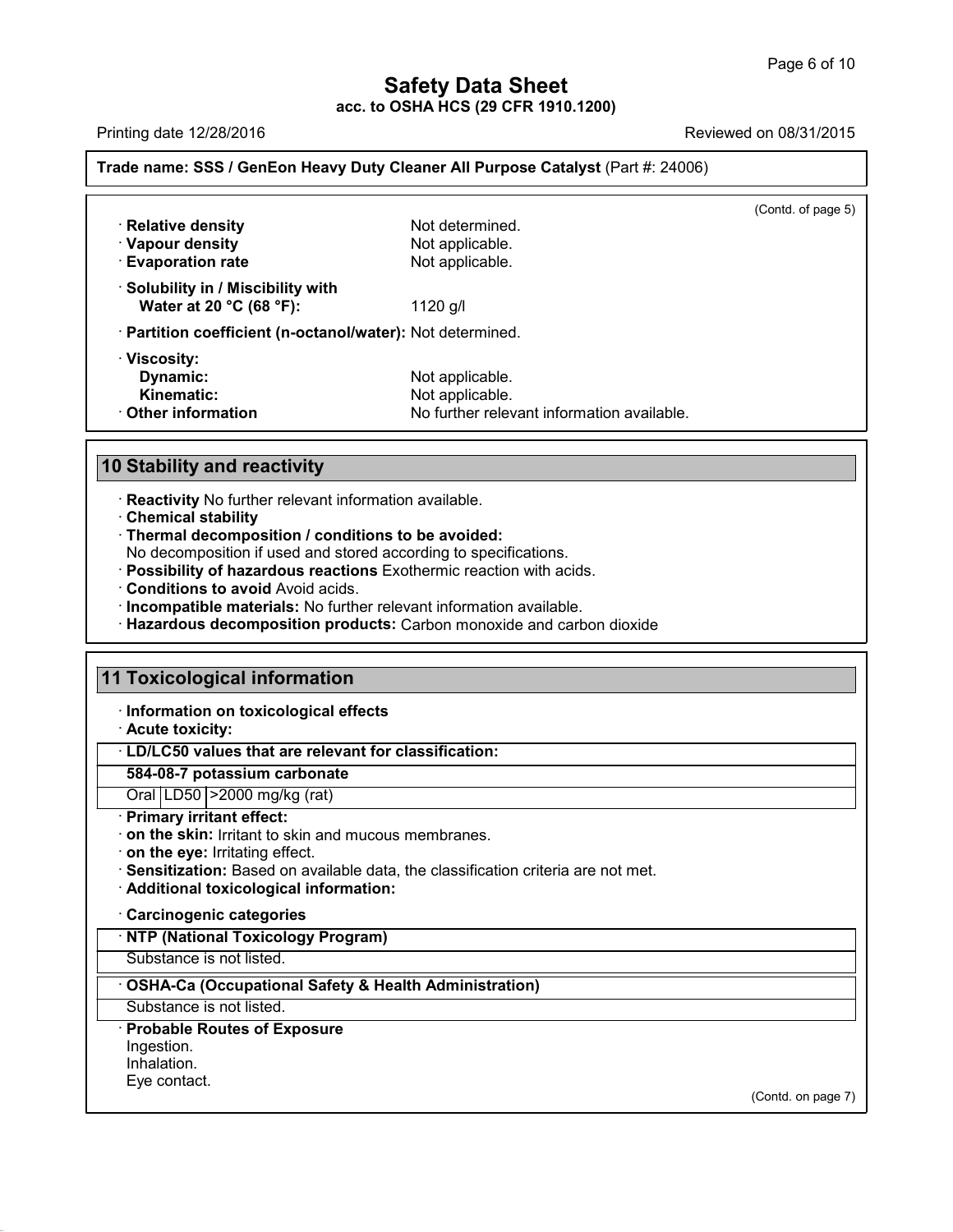Page 6 of 10<br>
acc. to OSHA HCS (29 CFR 1910.1200)<br>
Printing date 12/28/2016<br>
Reviewed on 08/31/2015<br>
Reviewed on 08/31/2015<br>
Reviewed on 08/31/2015 **Trade name: SSS / GenEon Heavy Duty Cleaner All Purpose Catalyst** (Part #: 24006)

| · Vapour density<br><b>Evaporation rate</b>                         | Not applicable.                                                                  |  |
|---------------------------------------------------------------------|----------------------------------------------------------------------------------|--|
|                                                                     | Not applicable.                                                                  |  |
| $\cdot$ Solubility in / Miscibility with<br>Water at 20 °C (68 °F): | 1120 g/l                                                                         |  |
| · Partition coefficient (n-octanol/water): Not determined.          |                                                                                  |  |
| · Viscosity:<br>Dynamic:<br>Kinematic:<br>$\cdot$ Other information | Not applicable.<br>Not applicable.<br>No further relevant information available. |  |
| <b>10 Stability and reactivity</b>                                  |                                                                                  |  |

- 
- 

**10 Stability and reactivity<br>
· Reactivity No further relevant information available.**<br> **• Chemical stability**<br> **• Thermal decomposition / conditions to be avoided:**<br> **No decomposition if used and stored according to speci** 

- 
- 
- 
- **Stability and reactivity**<br> **Example 12**<br> **Example 12**<br> **Example 12**<br> **Chemical stability**<br> **Chemical stability**<br> **Chemical stability**<br> **Chemical stability**<br> **Conditions if used and stored according to specifications.**<br> **P 11 Conditions to avoid Avoid acids.**<br> **11 Incompatible materials:** No further relevant information available.<br> **11 Toxicological information**<br> **11 Toxicological information**<br> **11 Information on toxicological effects**<br> **11**

# 11 Toxicological information<br>
liferation on toxicological ef<br>
Acute toxicity:<br>
LD/LC50 values that are releval<br>
584-08-7 potassium carbonate

**Information on toxicological information<br>Information on toxicological effects**<br>Acute toxicity:<br>Information on toxicological effects<br>In Fig. C50 values that are relevant for eleccification

### **Toxicological information<br>· Information on toxicological effects<br>· Acute toxicity:<br>· LD/LC50 values that are relevant for classification:<br>584-08-7 potassium carbonate 1255-1010 Information on toxicological effects**<br> **584-08-7 potassium carbonate**<br> **584-08-7 potassium carbonate**<br>
Oral LD50 | >2000 mg/kg (rat)<br> **Primary irritant effect:**  $\cdot$  LD/LC50 values that are relevant for classification:

- 
- · **on the skin:** Irritant to skin and mucous membranes.<br> **on the eye:** Irritating effect.
- 
- LD/LC50 values that are relevant for classification:<br>
584-08-7 potassium carbonate<br>
Oral LD50 > 2000 mg/kg (rat)<br>
Primary irritant effect:<br>
on the skin: Irritant to skin and mucous membranes.<br>
on the eye: Irritating effec · **Sensitization:** Based on available data, the classification criteria are not met.
- **Additional toxicological information:**<br>Carcinogenic categories<br><u>NTP (National Toxicology Program)</u><br>Substance is not listed.

### Substance is not listed.<br>
• **Additional toxicological information:**<br>
• **Carcinogenic categories**<br>
• **NTP (National Toxicology Program)**<br>
• Substance is not listed.<br>
• **OSHA-Ca (Occupational Safety & Health Administration) COSHA-Ca (Occupational Safety & Health Administration)**<br>Substance is not listed.<br>**· Probable Routes of Exposure**

Substance is not listed.

Ingestion.

Inhalation.<br>Eye contact.

41.1.0

(Contd. on page 7)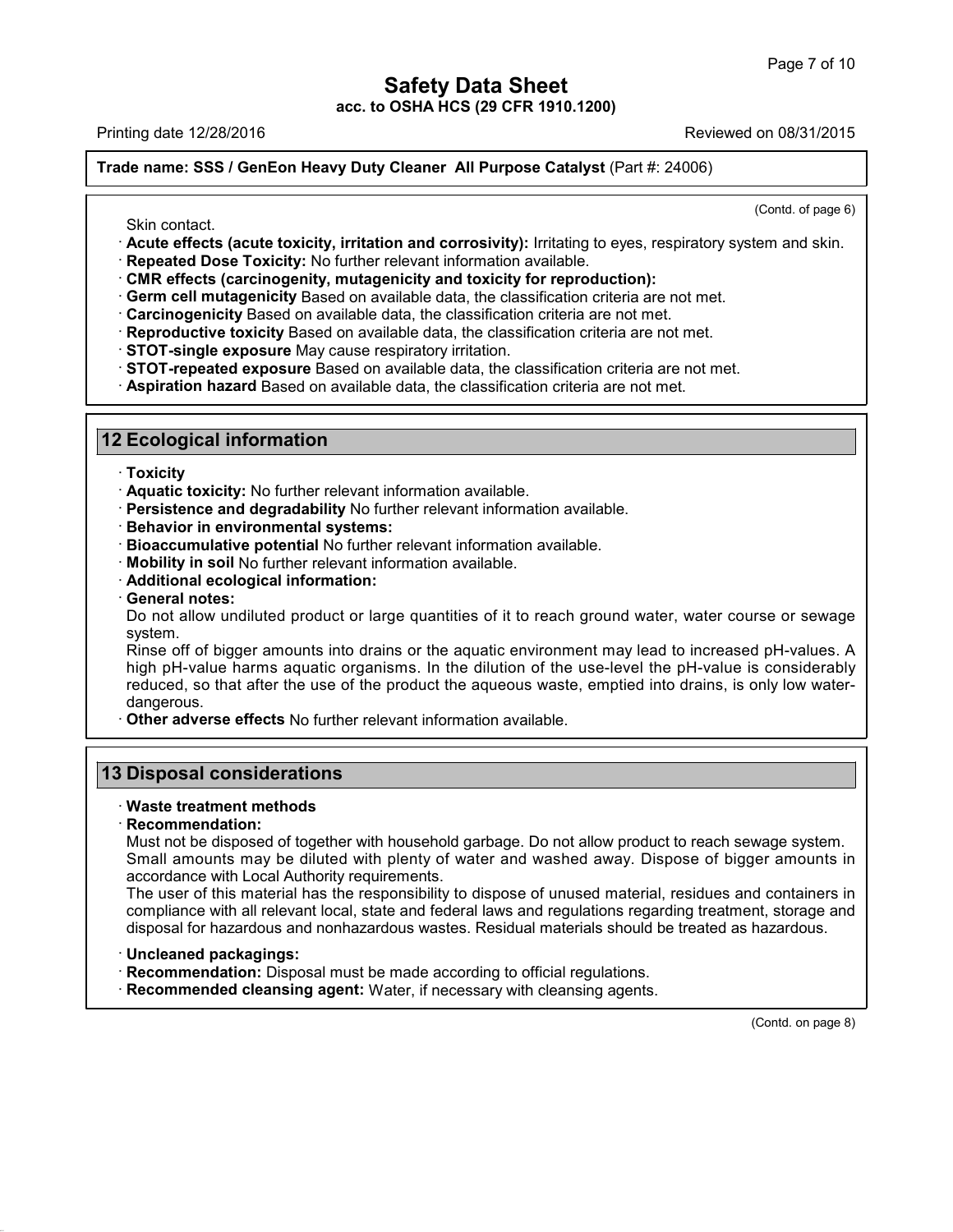Page 7 of 10<br>
acc. to OSHA HCS (29 CFR 1910.1200)<br>
Printing date 12/28/2016<br>
Reviewed on 08/31/2015<br>
Reviewed on 08/31/2015<br>
Reviewed on 08/31/2015 **Trade name: SSS / GenEon Heavy Duty Cleaner All Purpose Catalyst** (Part #: 24006)

 $\overline{(\text{Cond. of page 6})}$ 

- Reviewed of 06/31/2013<br>
In the name: SSS / GenEon Heavy Duty Cleaner All Purpose Catalyst (Part #: 24006)<br>
Skin contact.<br>
Contd. of page 6)<br>
Skin contact.<br> **Contd. of page 6)**<br> **Contd. of page 6)**<br> **Contd. of page 6)**<br> **Co** Skin contact.<br>
Contd. of page<br>
Contd. of page<br>
Contd. of page<br>
Repeated Dose Toxicity, irritation and corrosivity): Irritating to eyes, respiratory system and skin<br>
Repeated Dose Toxicity: No further relevant information a
- 
- 
- 
- 
- 
- 
- **12 Ecological information**<br> **12 Ecological information**<br> **12 Ecological information**<br> **12 Ecological information**<br> **12 Ecological information**<br> **12 Ecological information**<br> **12 Ecological information**<br> **12 Ecological info** 
	-

- · **Toxicity**
- 
- **Ecological information**<br>
 **Toxicity**<br>
 **Aquatic toxicity:** No further relevant information available.<br>
 **Persistence and degradability** No further relevant information available.<br>
 **Bioaccumulative potential** No furt • **Toxicity**<br>• **Aquatic toxicity:** No further relevant information available.<br>• **Behavior in environmental systems:**<br>• **Bioaccumulative potential** No further relevant information available.<br>• **Mobility in soil** No further
- 
- **Persistence and degradability No further relevant information available.**<br> **Behavior in environmental systems:**<br> **Bioaccumulative potential No further relevant information available.**<br> **Mobility in soil No further relevan**
- 
- 
- 

Do not allow undiluted product or large quantities of it to reach ground water, water course or sewage system.<br>System.<br>Rinse off of bigger amounts into drains or the aquatic environment may lead to increased pH-values. A system.

Mobility in soil No further relevant information available.<br>
Additional ecological information:<br>
Ceneral notes:<br>
Do not allow undiluted product or large quantities of it to reach ground water, water course or sewage<br>
syste Additional ecological information:<br>General notes:<br>Do not allow undiluted product or large quantities of it to reach ground water, water course or sewage<br>system.<br>Rinse off of bigger amounts into drains or the aquatic enviro General notes:<br>Do not allow undiluted product or large quantities of it to reach ground water, water course or sewage<br>system.<br>Rinse off of bigger amounts into drains or the aquatic environment may lead to increased pH-valu dangerous.<br>Other adverse effects No further relevant information available. system.<br>
Rinse off of bigger amounts into drains or the aquatic environment may<br>
high pH-value harms aquatic organisms. In the dilution of the use-lev<br>
reduced, so that after the use of the product the aqueous waste, empti migh pH-value harms aqualic organisms.<br> **13 Disposal considerations**<br> **13 Disposal considerations**<br> **13 Disposal considerations** 

# • **Other adverse effects No further relations**<br>**B Disposal considerations**<br>• **Waste treatment methods**<br>• **Recommendation:**<br>• Must not be disposed of together with

### · **Recommendation:**

**Disposal considerations**<br>Waste treatment methods<br>Recommendation:<br>Must not be disposed of together with household garbage. Do not allow product to reach sewage system.<br>Small amounts may be diluted with plenty of water and **Disposal considerations**<br>
Waste treatment methods<br>
Recommendation:<br>
Must not be disposed of together with household garbage. Do not allow product to reach sewage system.<br>
Small amounts may be diluted with plenty of water Waste treatment methods<br>
Recommendation:<br>
Must not be disposed of together with household ga<br>
Small amounts may be diluted with plenty of wat<br>
accordance with Local Authority requirements.<br>
The user of this material has th Waste treatment methods<br>
Recommendation:<br>
Must not be disposed of together with household garbage. Do not allow product to reach sewage system.<br>
Small amounts may be diluted with plenty of water and washed away. Dispose of Recommendation:<br>
Must not be disposed of together with household garbage. Do not allow product to reach sewage system.<br>
Small amounts may be diluted with plenty of water and washed away. Dispose of bigger amounts in<br>
accor

Must not be disposed of together with household garbage. Do not allow product to reach sewage system.<br>
Small amounts may be diluted with plenty of water and washed away. Dispose of bigger amounts in<br>
accordance with Local Frecusity to dispose of unused material, residues according to this material has the responsibility to dispose of unused material, residues according to compliance with all relevant local, state and federal laws and regula

41.1.0

- 
- 

(Contd. on page 8)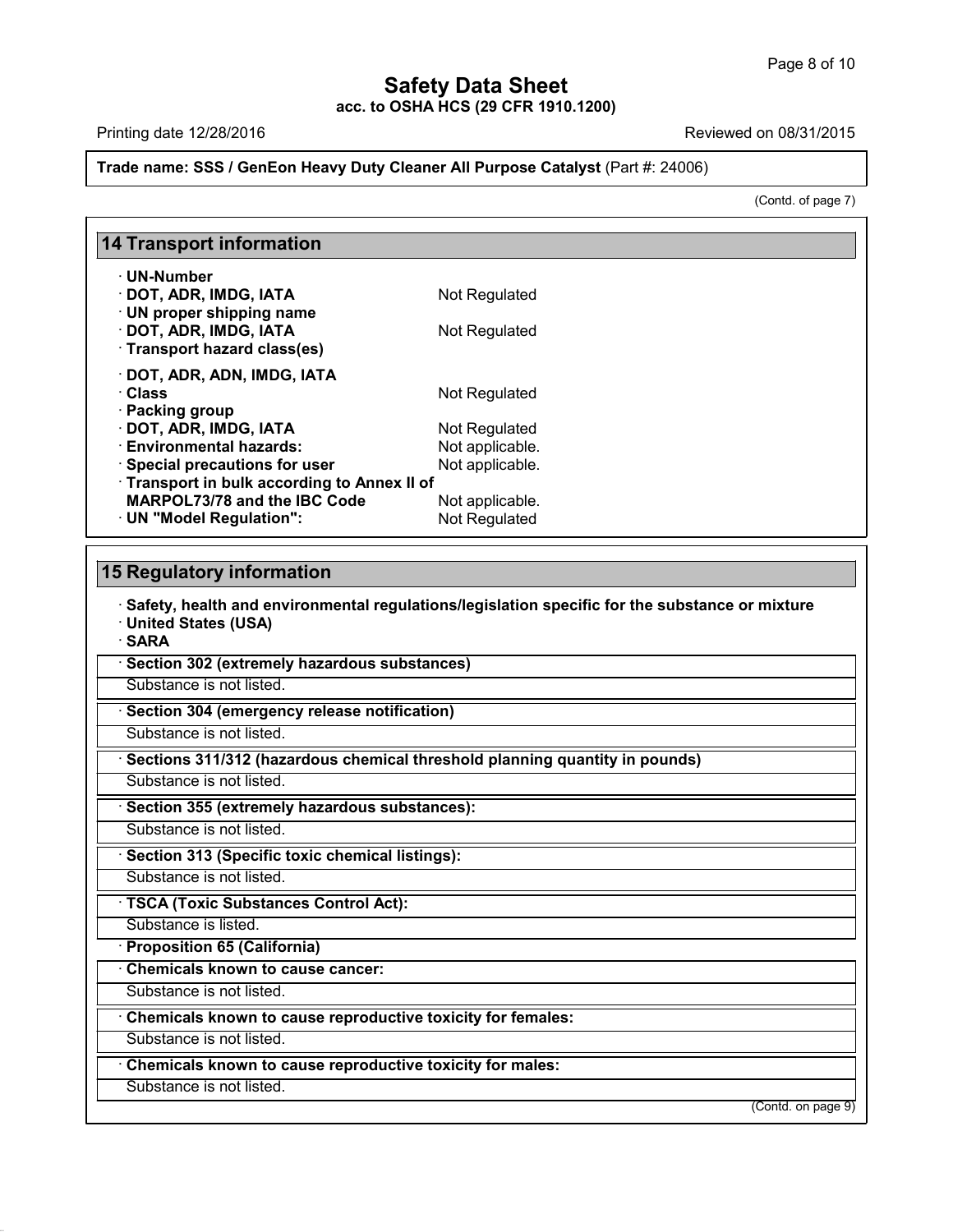### **Safety Data Sheet<br>

OSHA HCS (29 CFR 1910.1200) acc. to OSHA HCS (29 CFR 1910.1200)** Page 8 of 10<br>
acc. to OSHA HCS (29 CFR 1910.1200)<br>
Printing date 12/28/2016<br>
Reviewed on 08/31/2015<br>
Reviewed on 08/31/2015<br>
Reviewed on 08/31/2015

on 08/31/2015<br>
(Contd. of page 7)

### **Trade name: SSS / GenEon Heavy Duty Cleaner All Purpose Catalyst** (Part #: 24006)

| Trade name: SSS / GenEon Heavy Duty Cleaner All Purpose Catalyst (Part #: 24006)                       |                 |                    |
|--------------------------------------------------------------------------------------------------------|-----------------|--------------------|
|                                                                                                        |                 | (Contd. of page 7) |
| 14 Transport information                                                                               |                 |                    |
| · UN-Number                                                                                            |                 |                    |
| · DOT, ADR, IMDG, IATA                                                                                 | Not Regulated   |                    |
| · UN proper shipping name                                                                              |                 |                    |
| DOT, ADR, IMDG, IATA                                                                                   | Not Regulated   |                    |
| · Transport hazard class(es)                                                                           |                 |                    |
| DOT, ADR, ADN, IMDG, IATA                                                                              |                 |                    |
| · Class                                                                                                | Not Regulated   |                    |
| · Packing group                                                                                        |                 |                    |
| DOT, ADR, IMDG, IATA                                                                                   | Not Regulated   |                    |
| <b>Environmental hazards:</b>                                                                          | Not applicable. |                    |
| · Special precautions for user                                                                         | Not applicable. |                    |
| Transport in bulk according to Annex II of                                                             |                 |                    |
| <b>MARPOL73/78 and the IBC Code</b>                                                                    | Not applicable. |                    |
| · UN "Model Regulation":                                                                               | Not Regulated   |                    |
|                                                                                                        |                 |                    |
| 15 Regulatory information                                                                              |                 |                    |
| $\cdot$ Safety, health and environmental regulations/legislation specific for the substance or mixture |                 |                    |

• **DN ™Model Regulation •:**<br> **Safety, health and environmental regulations/legislation specific for the substance or mixture**<br>
• United States (USA)<br>• SARA **15 Regulatory information**<br>· Safety, health and environm<br>· United States (USA) · **SARA** • **Safety, health and environmental regulations/legisla**<br>• United States (USA)<br>• SARA<br>• Section 302 (extremely hazardous substances)<br>Substance is not listed. **Substance is not listed.**<br>Substance is not listed.<br>**· Section 304 (emergency release notification)**<br>Substance is not listed. **SARA**<br>
• Section 302 (extremely hazardous substances)<br>
• Substance is not listed.<br>
• Sections 311/312 (hazardous chemical threshold planning quantity in pounds)<br>
• Substance is not listed. **Substance is not listed.**<br> **• Section 304 (emergency release notification)**<br>
• Substance is not listed.<br>
• Substance is not listed.<br>
• Section 355 (extremely hazardous substances):<br>
• Substance is not listed. **Example 15 (Sections 311/312 (hazardous chemical threshold plant Substance is not listed.**<br> **• Section 355 (extremely hazardous substances):**<br>
Substance is not listed.<br>
• Section 313 (Specific toxic chemical listings):<br>
S **Substance is not listed.**<br> **Substance is not listed.**<br> **Substance is not listed.**<br> **Substance is not listed.**<br> **TSCA (Toxic Substances Control Act):**<br>
Substance is listed.<br> **TSCA (Toxic Substances Control Act):**<br>
Substanc Substance is not listed.<br> **· Section 313 (Specific toxic chemical listings):**<br>
Substance is not listed.<br> **· TSCA (Toxic Substances Control Act):**<br>
Substance is listed.<br> **· Proposition 65 (California)**<br>
· Chemicals known to **TSCA (Toxic Substances Control Act): TSCA (Toxic Substances Control Act):**<br>
Substance is listed.<br> **• Proposition 65 (California)**<br>
• Chemicals known to cause cancer:<br>
Substance is not listed.<br>
• Chemicals known to cause reproductive toxicity for females:<br>
Su **Chemicals known to cause cancer:**<br>
Substance is not listed.<br> **Chemicals known to cause reproductive toxicity for females:**<br>
Substance is not listed.<br> **Chemicals known to cause reproductive toxicity for males:**<br>
Substance

Chemicals known to cause reproductive toxicity for females:<br>Substance is not listed.<br>Chemicals known to cause reproductive toxicity for males:<br>Substance is not listed.

41.1.0

(Contd. on page 9)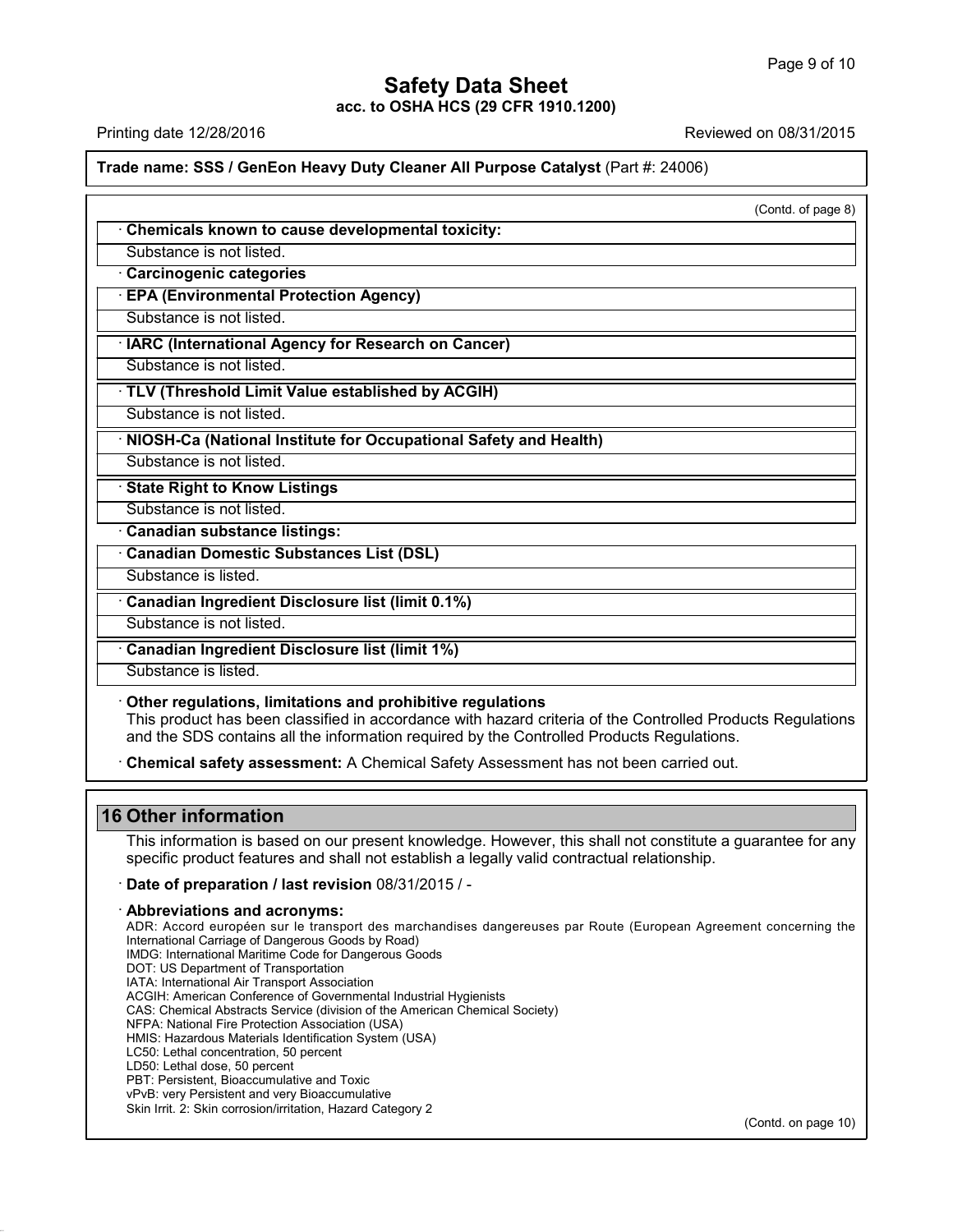Page 9 of 10<br>
acc. to OSHA HCS (29 CFR 1910.1200)<br>
Printing date 12/28/2016<br>
Reviewed on 08/31/2015<br>
Reviewed on 08/31/2015<br>
Reviewed on 08/31/2015 **Trade name: SSS / GenEon Heavy Duty Cleaner All Purpose Catalyst** (Part #: 24006)

|                                                                                                                                                                                                                                                                       | (Contd. of page 8) |
|-----------------------------------------------------------------------------------------------------------------------------------------------------------------------------------------------------------------------------------------------------------------------|--------------------|
| Chemicals known to cause developmental toxicity:                                                                                                                                                                                                                      |                    |
| Substance is not listed.                                                                                                                                                                                                                                              |                    |
| Carcinogenic categories                                                                                                                                                                                                                                               |                    |
| <b>EPA (Environmental Protection Agency)</b>                                                                                                                                                                                                                          |                    |
| Substance is not listed.                                                                                                                                                                                                                                              |                    |
| · IARC (International Agency for Research on Cancer)                                                                                                                                                                                                                  |                    |
| Substance is not listed.                                                                                                                                                                                                                                              |                    |
| · TLV (Threshold Limit Value established by ACGIH)                                                                                                                                                                                                                    |                    |
| Substance is not listed.                                                                                                                                                                                                                                              |                    |
| NIOSH-Ca (National Institute for Occupational Safety and Health)                                                                                                                                                                                                      |                    |
| Substance is not listed.                                                                                                                                                                                                                                              |                    |
| <b>State Right to Know Listings</b>                                                                                                                                                                                                                                   |                    |
| Substance is not listed.                                                                                                                                                                                                                                              |                    |
| Canadian substance listings:                                                                                                                                                                                                                                          |                    |
| <b>Canadian Domestic Substances List (DSL)</b>                                                                                                                                                                                                                        |                    |
| Substance is listed.                                                                                                                                                                                                                                                  |                    |
| Canadian Ingredient Disclosure list (limit 0.1%)                                                                                                                                                                                                                      |                    |
| Substance is not listed.                                                                                                                                                                                                                                              |                    |
| <b>Canadian Ingredient Disclosure list (limit 1%)</b>                                                                                                                                                                                                                 |                    |
| Substance is listed.                                                                                                                                                                                                                                                  |                    |
| Other regulations, limitations and prohibitive regulations<br>This product has been classified in accordance with hazard criteria of the Controlled Products Regulations<br>and the SDS contains all the information required by the Controlled Products Regulations. |                    |
| Chemical safety assessment: A Chemical Safety Assessment has not been carried out.                                                                                                                                                                                    |                    |

This product has been classified in<br>and the SDS contains all the inform<br>**16 Other information<br>This information**<br>This information is based on our propecific product features and shall in

41.1.0

This information<br>This information<br>This information is based on our present knowledge. However, this shall not constitute a guarantee for any<br>specific product features and shall not establish a legally valid contractual rel Specific product features and shall not establish a legally valid contractual relationship.<br>
This information is based on our present knowledge. However, this shall not constitute a gual specific product features and shall

This information is based on our preser<br>specific product features and shall not  $\epsilon$ <br>**· Date of preparation / last revision** 08.<br>**Abbreviations and acronyms:**<br>ADR: Accord européen sur le transport des<br>International Carriag specific product features and shall not establish a legally valid contractual relationship.<br> **Date of preparation / last revision** 08/31/2015 / -<br>
A**bbreviations and acronyms:**<br>
International Carriage of Dangerous Goods<br>
I Date of preparation / last revision 08/31/2015 / -<br>Abbreviations and acronyms:<br>ADR: Accord européen sur le transport des marchandises d<br>International Carriage of Dangerous Goods by Road)<br>IMDG: International Maritime Code f Date of preparation / last revision 08/31/2015 / -<br>Abbreviations and acronyms:<br>ADR: Accord européen sur le transport des marchandises dang<br>International Carriage of Dangerous Goods by Road)<br>IMDG: International Maritime Cod **Abbreviations and acronyms:**<br>ADR: Accord européen sur le transport des<br>International Carriage of Dangerous Goods by R<br>IMDG: International Maritime Code for Dangerou<br>DOT: US Department of Transport Association<br>ACGIH: Ameri ADDreVIations and acronyms:<br>
ADR: Accord européen sur le transport des marc<br>
International Carriage of Dangerous Goods by Road)<br>
IMDG: International Maritime Code for Dangerous Goo<br>
DOT: US Department of Transportation<br>
AT ADR: Accord européen sur le transport des marchandises dangereuse<br>International Carriage of Dangerous Goods by Road)<br>IMDG: International Maritime Code for Dangerous Goods<br>DOT: US Department of Transportation<br>IATA: Internat International Carriage of Dangerous Goods by Road)<br>IMDG: International Maritime Code for Dangerous Goods<br>DOT: US Department of Transportation<br>IATA: International Air Transport Association<br>ACGIH: American Conference of Gove IMDG: International Maritime Code for Dangerous Goods<br>DOT: US Department of Transportation<br>IATA: International Air Transport Association<br>ACGIH: American Conference of Governmental Industrial Hygi<br>CAS: Chemical Abstracts Se DOT: US Department of Transportation<br>IATA: International Air Transport Association<br>ACGIH: American Conference of Governmental Industrial Hygienists<br>CAS: Chemical Abstracts Service (division of the American Chemica<br>NFPA: Na IATA: International Air Transport Association<br>ACGIH: American Conference of Governmental In<br>CAS: Chemical Abstracts Service (division of the *A*<br>NFPA: National Fire Protection Association (USA)<br>HMIS: Hazardous Materials Id ACGIH: American Conference of Governn<br>CAS: Chemical Abstracts Service (divisio<br>NFPA: National Fire Protection Associatic<br>HMIS: Hazardous Materials Identification<br>LC50: Lethal dose, 50 percent<br>LD50: Lethal dose, 50 percent<br> CAS: Chemical Abstracts Service (division of the America<br>NFPA: National Fire Protection Association (USA)<br>HMIS: Hazardous Materials Identification System (USA)<br>LC50: Lethal concentration, 50 percent<br>LD50: Lethal dose, 50 p NFPA: National Fire Protection Association (USA)<br>HMIS: Hazardous Materials Identification System (USA)<br>LC50: Lethal concentration, 50 percent<br>LD50: Lethal dose, 50 percent<br>PBT: Persistent, Bioaccumulative and Toxic<br>vPvB: v HMIS: Hazardous Materials Identification System (USA)<br>LC50: Lethal concentration, 50 percent<br>LD50: Lethal dose, 50 percent<br>PBT: Persistent, Bioaccumulative and Toxic<br>vPvB: very Persistent and very Bioaccumulative<br>Skin Irri (Contd. on page 10)